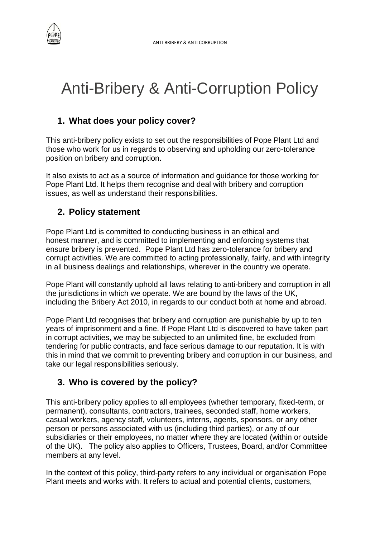

# Anti-Bribery & Anti-Corruption Policy

## **1. What does your policy cover?**

This anti-bribery policy exists to set out the responsibilities of Pope Plant Ltd and those who work for us in regards to observing and upholding our zero-tolerance position on bribery and corruption.

It also exists to act as a source of information and guidance for those working for Pope Plant Ltd. It helps them recognise and deal with bribery and corruption issues, as well as understand their responsibilities.

# **2. Policy statement**

Pope Plant Ltd is committed to conducting business in an ethical and honest manner, and is committed to implementing and enforcing systems that ensure bribery is prevented. Pope Plant Ltd has zero-tolerance for bribery and corrupt activities. We are committed to acting professionally, fairly, and with integrity in all business dealings and relationships, wherever in the country we operate.

Pope Plant will constantly uphold all laws relating to anti-bribery and corruption in all the jurisdictions in which we operate. We are bound by the laws of the UK, including the Bribery Act 2010, in regards to our conduct both at home and abroad.

Pope Plant Ltd recognises that bribery and corruption are punishable by up to ten years of imprisonment and a fine. If Pope Plant Ltd is discovered to have taken part in corrupt activities, we may be subjected to an unlimited fine, be excluded from tendering for public contracts, and face serious damage to our reputation. It is with this in mind that we commit to preventing bribery and corruption in our business, and take our legal responsibilities seriously.

## **3. Who is covered by the policy?**

This anti-bribery policy applies to all employees (whether temporary, fixed-term, or permanent), consultants, contractors, trainees, seconded staff, home workers, casual workers, agency staff, volunteers, interns, agents, sponsors, or any other person or persons associated with us (including third parties), or any of our subsidiaries or their employees, no matter where they are located (within or outside of the UK). The policy also applies to Officers, Trustees, Board, and/or Committee members at any level.

In the context of this policy, third-party refers to any individual or organisation Pope Plant meets and works with. It refers to actual and potential clients, customers,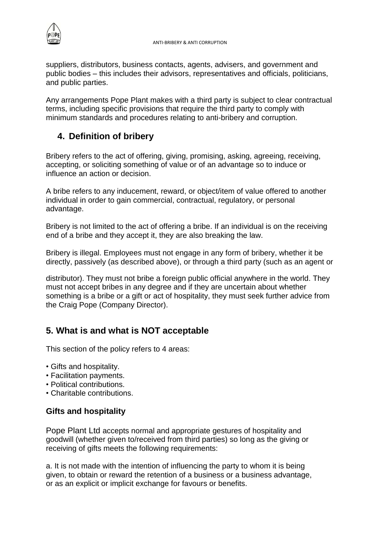

suppliers, distributors, business contacts, agents, advisers, and government and public bodies – this includes their advisors, representatives and officials, politicians, and public parties.

Any arrangements Pope Plant makes with a third party is subject to clear contractual terms, including specific provisions that require the third party to comply with minimum standards and procedures relating to anti-bribery and corruption.

## **4. Definition of bribery**

Bribery refers to the act of offering, giving, promising, asking, agreeing, receiving, accepting, or soliciting something of value or of an advantage so to induce or influence an action or decision.

A bribe refers to any inducement, reward, or object/item of value offered to another individual in order to gain commercial, contractual, regulatory, or personal advantage.

Bribery is not limited to the act of offering a bribe. If an individual is on the receiving end of a bribe and they accept it, they are also breaking the law.

Bribery is illegal. Employees must not engage in any form of bribery, whether it be directly, passively (as described above), or through a third party (such as an agent or

distributor). They must not bribe a foreign public official anywhere in the world. They must not accept bribes in any degree and if they are uncertain about whether something is a bribe or a gift or act of hospitality, they must seek further advice from the Craig Pope (Company Director).

# **5. What is and what is NOT acceptable**

This section of the policy refers to 4 areas:

- Gifts and hospitality.
- Facilitation payments.
- Political contributions.
- Charitable contributions.

#### **Gifts and hospitality**

Pope Plant Ltd accepts normal and appropriate gestures of hospitality and goodwill (whether given to/received from third parties) so long as the giving or receiving of gifts meets the following requirements:

a. It is not made with the intention of influencing the party to whom it is being given, to obtain or reward the retention of a business or a business advantage, or as an explicit or implicit exchange for favours or benefits.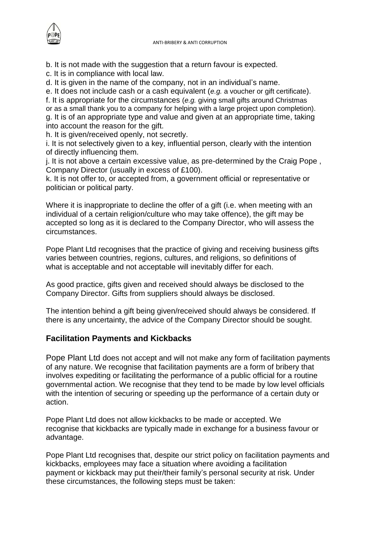

b. It is not made with the suggestion that a return favour is expected.

c. It is in compliance with local law.

d. It is given in the name of the company, not in an individual's name.

e. It does not include cash or a cash equivalent (*e.g.* a voucher or gift certificate).

f. It is appropriate for the circumstances (*e.g.* giving small gifts around Christmas or as a small thank you to a company for helping with a large project upon completion). g. It is of an appropriate type and value and given at an appropriate time, taking into account the reason for the gift.

h. It is given/received openly, not secretly.

i. It is not selectively given to a key, influential person, clearly with the intention of directly influencing them.

j. It is not above a certain excessive value, as pre-determined by the Craig Pope , Company Director (usually in excess of £100).

k. It is not offer to, or accepted from, a government official or representative or politician or political party.

Where it is inappropriate to decline the offer of a gift (i.e. when meeting with an individual of a certain religion/culture who may take offence), the gift may be accepted so long as it is declared to the Company Director, who will assess the circumstances.

Pope Plant Ltd recognises that the practice of giving and receiving business gifts varies between countries, regions, cultures, and religions, so definitions of what is acceptable and not acceptable will inevitably differ for each.

As good practice, gifts given and received should always be disclosed to the Company Director. Gifts from suppliers should always be disclosed.

The intention behind a gift being given/received should always be considered. If there is any uncertainty, the advice of the Company Director should be sought.

#### **Facilitation Payments and Kickbacks**

Pope Plant Ltd does not accept and will not make any form of facilitation payments of any nature. We recognise that facilitation payments are a form of bribery that involves expediting or facilitating the performance of a public official for a routine governmental action. We recognise that they tend to be made by low level officials with the intention of securing or speeding up the performance of a certain duty or action.

Pope Plant Ltd does not allow kickbacks to be made or accepted. We recognise that kickbacks are typically made in exchange for a business favour or advantage.

Pope Plant Ltd recognises that, despite our strict policy on facilitation payments and kickbacks, employees may face a situation where avoiding a facilitation payment or kickback may put their/their family's personal security at risk. Under these circumstances, the following steps must be taken: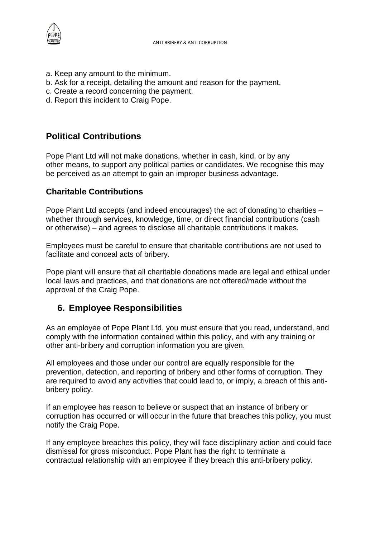

- a. Keep any amount to the minimum.
- b. Ask for a receipt, detailing the amount and reason for the payment.
- c. Create a record concerning the payment.
- d. Report this incident to Craig Pope.

## **Political Contributions**

Pope Plant Ltd will not make donations, whether in cash, kind, or by any other means, to support any political parties or candidates. We recognise this may be perceived as an attempt to gain an improper business advantage.

#### **Charitable Contributions**

Pope Plant Ltd accepts (and indeed encourages) the act of donating to charities – whether through services, knowledge, time, or direct financial contributions (cash or otherwise) – and agrees to disclose all charitable contributions it makes.

Employees must be careful to ensure that charitable contributions are not used to facilitate and conceal acts of bribery.

Pope plant will ensure that all charitable donations made are legal and ethical under local laws and practices, and that donations are not offered/made without the approval of the Craig Pope.

## **6. Employee Responsibilities**

As an employee of Pope Plant Ltd, you must ensure that you read, understand, and comply with the information contained within this policy, and with any training or other anti-bribery and corruption information you are given.

All employees and those under our control are equally responsible for the prevention, detection, and reporting of bribery and other forms of corruption. They are required to avoid any activities that could lead to, or imply, a breach of this antibribery policy.

If an employee has reason to believe or suspect that an instance of bribery or corruption has occurred or will occur in the future that breaches this policy, you must notify the Craig Pope.

If any employee breaches this policy, they will face disciplinary action and could face dismissal for gross misconduct. Pope Plant has the right to terminate a contractual relationship with an employee if they breach this anti-bribery policy.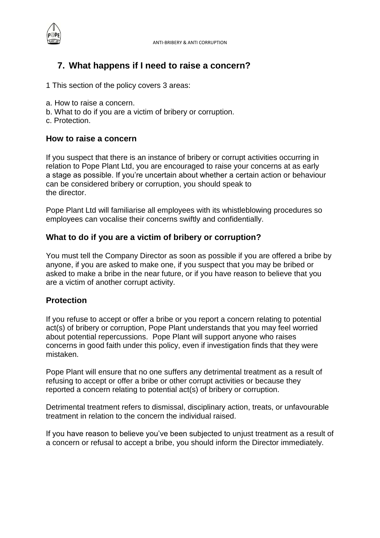

### **7. What happens if I need to raise a concern?**

- 1 This section of the policy covers 3 areas:
- a. How to raise a concern.
- b. What to do if you are a victim of bribery or corruption.
- c. Protection.

#### **How to raise a concern**

If you suspect that there is an instance of bribery or corrupt activities occurring in relation to Pope Plant Ltd, you are encouraged to raise your concerns at as early a stage as possible. If you're uncertain about whether a certain action or behaviour can be considered bribery or corruption, you should speak to the director.

Pope Plant Ltd will familiarise all employees with its whistleblowing procedures so employees can vocalise their concerns swiftly and confidentially.

#### **What to do if you are a victim of bribery or corruption?**

You must tell the Company Director as soon as possible if you are offered a bribe by anyone, if you are asked to make one, if you suspect that you may be bribed or asked to make a bribe in the near future, or if you have reason to believe that you are a victim of another corrupt activity.

#### **Protection**

If you refuse to accept or offer a bribe or you report a concern relating to potential act(s) of bribery or corruption, Pope Plant understands that you may feel worried about potential repercussions. Pope Plant will support anyone who raises concerns in good faith under this policy, even if investigation finds that they were mistaken.

Pope Plant will ensure that no one suffers any detrimental treatment as a result of refusing to accept or offer a bribe or other corrupt activities or because they reported a concern relating to potential act(s) of bribery or corruption.

Detrimental treatment refers to dismissal, disciplinary action, treats, or unfavourable treatment in relation to the concern the individual raised.

If you have reason to believe you've been subjected to unjust treatment as a result of a concern or refusal to accept a bribe, you should inform the Director immediately.